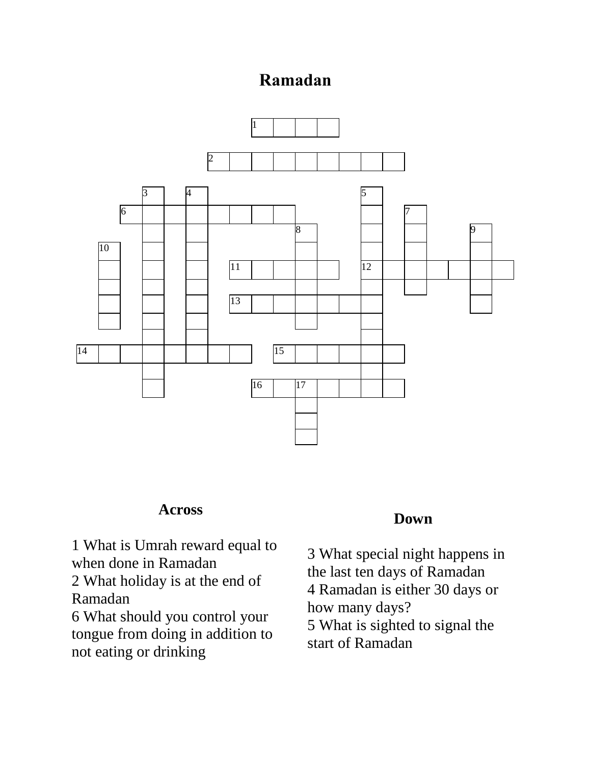## **Ramadan**



## **Across**

 What is Umrah reward equal to when done in Ramadan What holiday is at the end of Ramadan What should you control your

tongue from doing in addition to not eating or drinking

## **Down**

 What special night happens in the last ten days of Ramadan Ramadan is either 30 days or how many days? What is sighted to signal the start of Ramadan